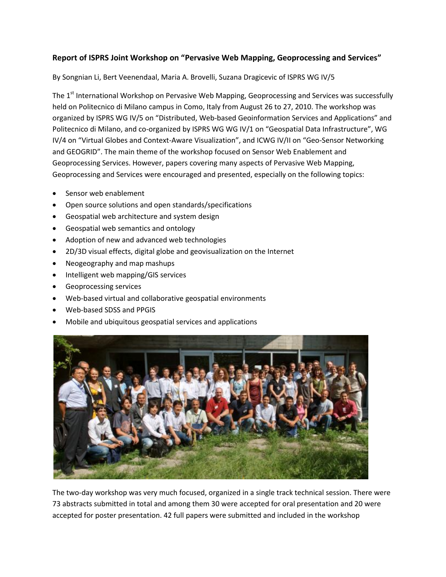## **Report of ISPRS Joint Workshop on "Pervasive Web Mapping, Geoprocessing and Services"**

By Songnian Li, Bert Veenendaal, Maria A. Brovelli, Suzana Dragicevic of ISPRS WG IV/5

The 1<sup>st</sup> International Workshop on Pervasive Web Mapping, Geoprocessing and Services was successfully held on Politecnico di Milano campus in Como, Italy from August 26 to 27, 2010. The workshop was organized by ISPRS WG IV/5 on "Distributed, Web-based Geoinformation Services and Applications" and Politecnico di Milano, and co-organized by ISPRS WG WG IV/1 on "Geospatial Data Infrastructure", WG IV/4 on "Virtual Globes and Context-Aware Visualization", and ICWG IV/II on "Geo-Sensor Networking and GEOGRID". The main theme of the workshop focused on Sensor Web Enablement and Geoprocessing Services. However, papers covering many aspects of Pervasive Web Mapping, Geoprocessing and Services were encouraged and presented, especially on the following topics:

- Sensor web enablement
- Open source solutions and open standards/specifications
- Geospatial web architecture and system design
- Geospatial web semantics and ontology
- Adoption of new and advanced web technologies
- 2D/3D visual effects, digital globe and geovisualization on the Internet
- Neogeography and map mashups
- Intelligent web mapping/GIS services
- Geoprocessing services
- Web-based virtual and collaborative geospatial environments
- Web-based SDSS and PPGIS
- Mobile and ubiquitous geospatial services and applications



The two-day workshop was very much focused, organized in a single track technical session. There were 73 abstracts submitted in total and among them 30 were accepted for oral presentation and 20 were accepted for poster presentation. 42 full papers were submitted and included in the workshop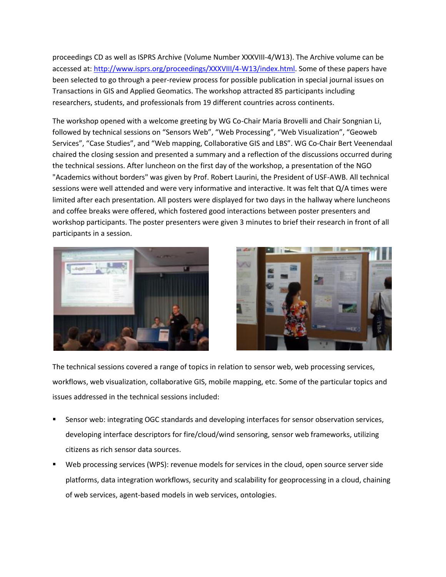proceedings CD as well as ISPRS Archive (Volume Number XXXVIII-4/W13). The Archive volume can be accessed at: [http://www.isprs.org/proceedings/XXXVIII/4-W13/index.html.](http://www.isprs.org/proceedings/XXXVIII/4-W13/index.html) Some of these papers have been selected to go through a peer-review process for possible publication in special journal issues on Transactions in GIS and Applied Geomatics. The workshop attracted 85 participants including researchers, students, and professionals from 19 different countries across continents.

The workshop opened with a welcome greeting by WG Co-Chair Maria Brovelli and Chair Songnian Li, followed by technical sessions on "Sensors Web", "Web Processing", "Web Visualization", "Geoweb Services", "Case Studies", and "Web mapping, Collaborative GIS and LBS". WG Co-Chair Bert Veenendaal chaired the closing session and presented a summary and a reflection of the discussions occurred during the technical sessions. After luncheon on the first day of the workshop, a presentation of the NGO "Academics without borders" was given by Prof. Robert Laurini, the President of USF-AWB. All technical sessions were well attended and were very informative and interactive. It was felt that Q/A times were limited after each presentation. All posters were displayed for two days in the hallway where luncheons and coffee breaks were offered, which fostered good interactions between poster presenters and workshop participants. The poster presenters were given 3 minutes to brief their research in front of all participants in a session.





The technical sessions covered a range of topics in relation to sensor web, web processing services, workflows, web visualization, collaborative GIS, mobile mapping, etc. Some of the particular topics and issues addressed in the technical sessions included:

- Sensor web: integrating OGC standards and developing interfaces for sensor observation services, developing interface descriptors for fire/cloud/wind sensoring, sensor web frameworks, utilizing citizens as rich sensor data sources.
- Web processing services (WPS): revenue models for services in the cloud, open source server side platforms, data integration workflows, security and scalability for geoprocessing in a cloud, chaining of web services, agent-based models in web services, ontologies.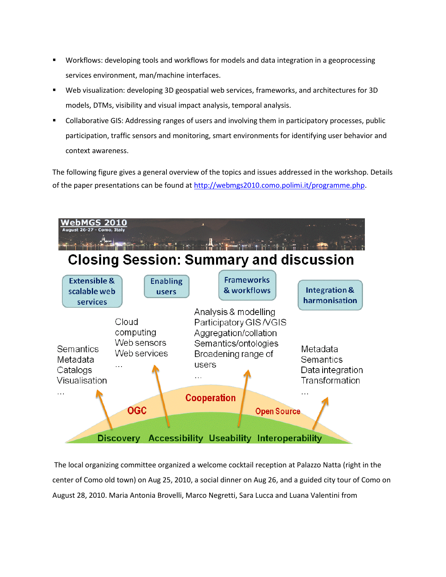- Workflows: developing tools and workflows for models and data integration in a geoprocessing services environment, man/machine interfaces.
- Web visualization: developing 3D geospatial web services, frameworks, and architectures for 3D models, DTMs, visibility and visual impact analysis, temporal analysis.
- Collaborative GIS: Addressing ranges of users and involving them in participatory processes, public participation, traffic sensors and monitoring, smart environments for identifying user behavior and context awareness.

The following figure gives a general overview of the topics and issues addressed in the workshop. Details of the paper presentations can be found at [http://webmgs2010.como.polimi.it/programme.php.](http://webmgs2010.como.polimi.it/programme.php)



The local organizing committee organized a welcome cocktail reception at Palazzo Natta (right in the center of Como old town) on Aug 25, 2010, a social dinner on Aug 26, and a guided city tour of Como on August 28, 2010. Maria Antonia Brovelli, Marco Negretti, Sara Lucca and Luana Valentini from